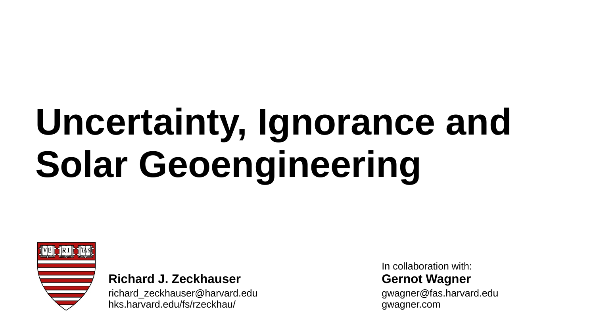# **Uncertainty, Ignorance and Solar Geoengineering**



#### **Richard J. Zeckhauser Gernot Wagner**

richard\_zeckhauser@harvard.edu gwagner@fas.harvard.edu hks.harvard.edu/fs/rzeckhau/ gwagner.com

In collaboration with: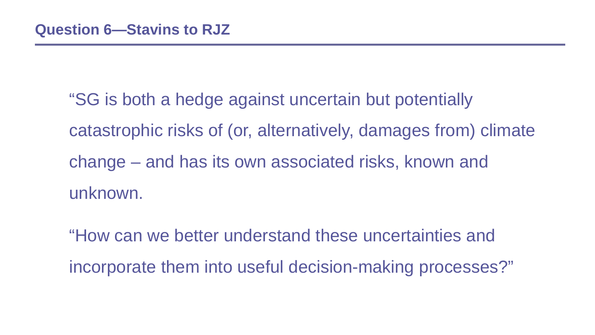"SG is both a hedge against uncertain but potentially catastrophic risks of (or, alternatively, damages from) climate change – and has its own associated risks, known and unknown.

"How can we better understand these uncertainties and incorporate them into useful decision-making processes?"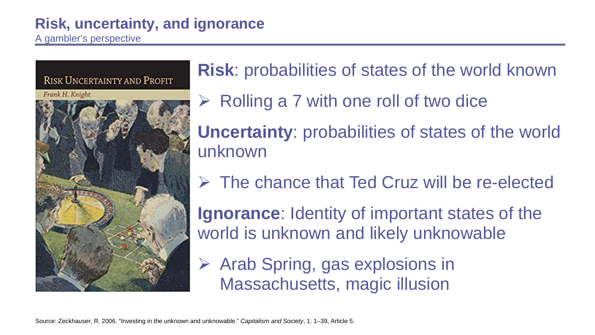# **Risk, uncertainty, and ignorance**

A gambler's perspective



## **Risk**: probabilities of states of the world known

 $\triangleright$  Rolling a 7 with one roll of two dice

**Uncertainty**: probabilities of states of the world unknown

 $\triangleright$  The chance that Ted Cruz will be re-elected

**Ignorance**: Identity of important states of the world is unknown and likely unknowable

**► Arab Spring, gas explosions in** Massachusetts, magic illusion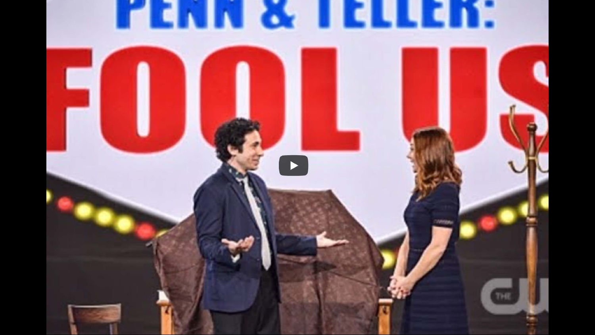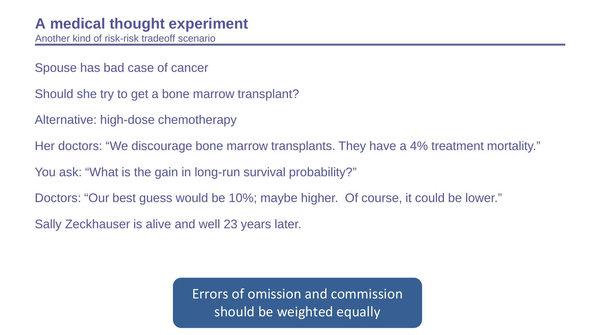Another kind of risk-risk tradeoff scenario

Spouse has bad case of cancer

Should she try to get a bone marrow transplant?

Alternative: high-dose chemotherapy

Her doctors: "We discourage bone marrow transplants. They have a 4% treatment mortality."

You ask: "What is the gain in long-run survival probability?"

Doctors: "Our best guess would be 10%; maybe higher. Of course, it could be lower."

Sally Zeckhauser is alive and well 23 years later.

Errors of omission and commission should be weighted equally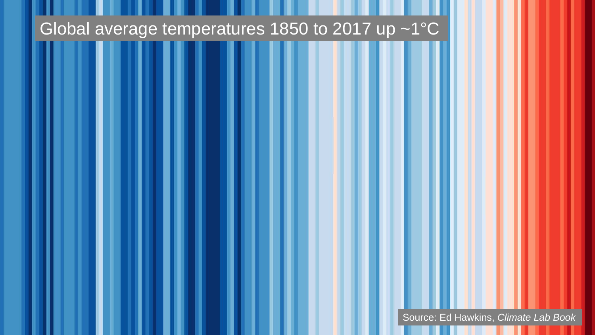## Global average temperatures 1850 to 2017 up ~1°C

Source: Ed Hawkins, *Climate Lab Book*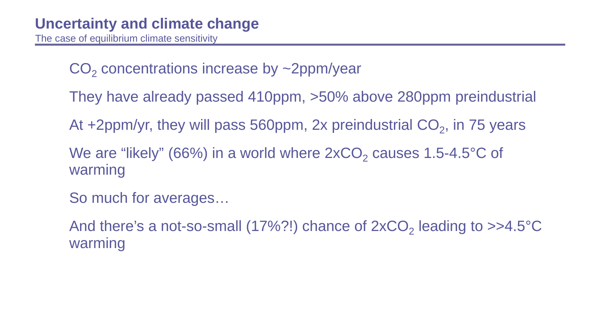$CO<sub>2</sub>$  concentrations increase by  $\sim$ 2ppm/year

They have already passed 410ppm, >50% above 280ppm preindustrial

At +2ppm/yr, they will pass 560ppm, 2x preindustrial  $CO<sub>2</sub>$ , in 75 years

We are "likely" (66%) in a world where  $2xCO<sub>2</sub>$  causes 1.5-4.5°C of warming

So much for averages…

And there's a not-so-small (17%?!) chance of  $2xCO<sub>2</sub>$  leading to  $>>4.5^{\circ}C$ warming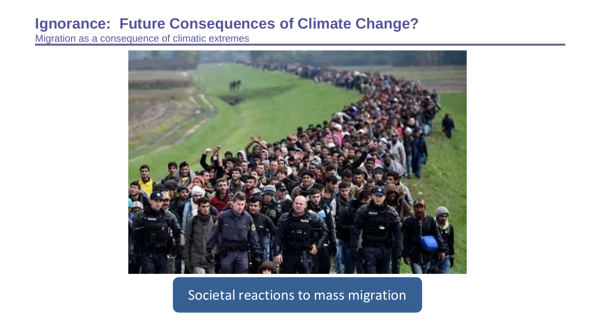#### **Ignorance: Future Consequences of Climate Change?**

Migration as a consequence of climatic extremes



Societal reactions to mass migration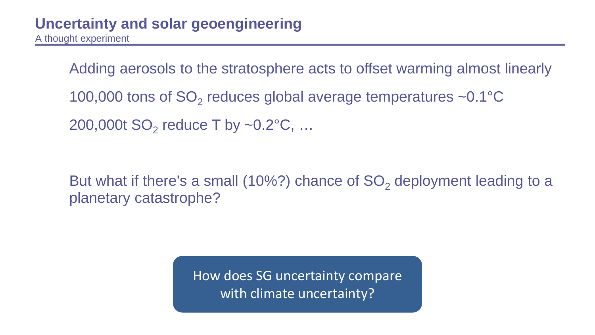Adding aerosols to the stratosphere acts to offset warming almost linearly 100,000 tons of  $SO<sub>2</sub>$  reduces global average temperatures ~0.1 $^{\circ}$ C 200,000t  $SO<sub>2</sub>$  reduce T by  $\sim 0.2$ °C, ...

But what if there's a small (10%?) chance of  $SO<sub>2</sub>$  deployment leading to a planetary catastrophe?

> How does SG uncertainty compare with climate uncertainty?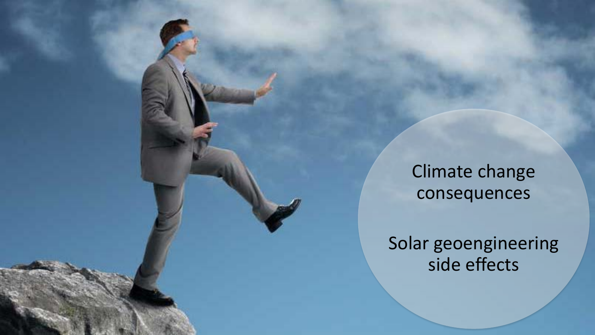Climate change consequences

Solar geoengineering side effects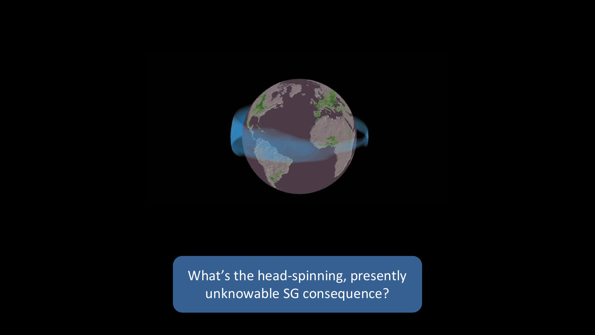

What's the head-spinning, presently unknowable SG consequence?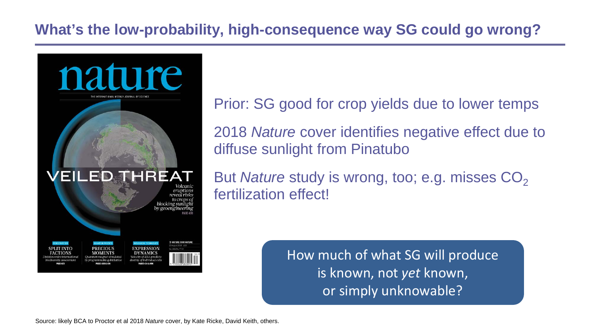### **What's the low-probability, high-consequence way SG could go wrong?**



Prior: SG good for crop yields due to lower temps

2018 *Nature* cover identifies negative effect due to diffuse sunlight from Pinatubo

But *Nature* study is wrong, too; e.g. misses  $CO<sub>2</sub>$ fertilization effect!

> How much of what SG will produce is known, not *yet* known, or simply unknowable?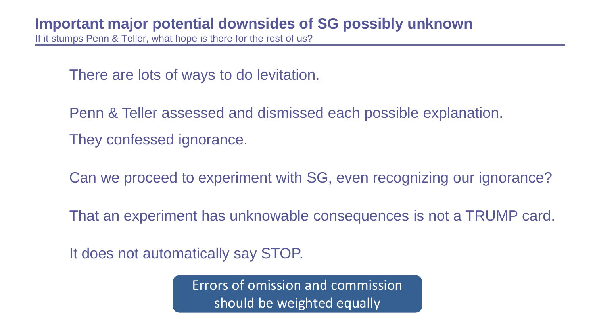There are lots of ways to do levitation.

Penn & Teller assessed and dismissed each possible explanation. They confessed ignorance.

Can we proceed to experiment with SG, even recognizing our ignorance?

That an experiment has unknowable consequences is not a TRUMP card.

It does not automatically say STOP.

Errors of omission and commission should be weighted equally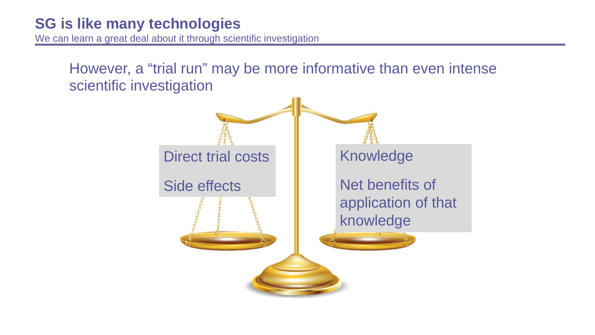We can learn a great deal about it through scientific investigation

However, a "trial run" may be more informative than even intense scientific investigation

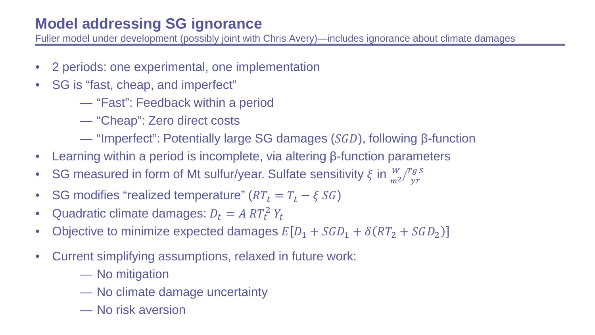#### **Model addressing SG ignorance**

Fuller model under development (possibly joint with Chris Avery)—includes ignorance about climate damages

- 2 periods: one experimental, one implementation
- SG is "fast, cheap, and imperfect"
	- "Fast": Feedback within a period
	- "Cheap": Zero direct costs
	- "Imperfect": Potentially large SG damages  $(SGD)$ , following β-function
- Learning within a period is incomplete, via altering β-function parameters
- SG measured in form of Mt sulfur/year. Sulfate sensitivity  $\xi$  in  $\frac{W}{m^2}$ / <u> T g S</u>
- SG modifies "realized temperature"  $(RT_t = T_t \xi S G)$
- Quadratic climate damages:  $D_t = A RT_t^2 Y_t$
- Objective to minimize expected damages  $E[D_1 + SGD_1 + \delta(RT_2 + SGD_2)]$
- Current simplifying assumptions, relaxed in future work:
	- No mitigation
	- No climate damage uncertainty
	- No risk aversion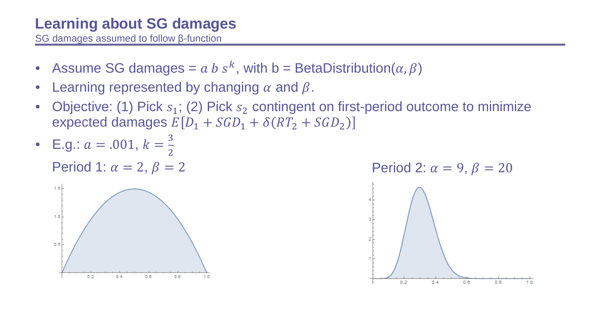#### **Learning about SG damages**

SG damages assumed to follow β-function

- Assume SG damages =  $a b s<sup>k</sup>$ , with b = BetaDistribution( $\alpha, \beta$ )
- Learning represented by changing  $\alpha$  and  $\beta$ .
- Objective: (1) Pick  $s_1$ ; (2) Pick  $s_2$  contingent on first-period outcome to minimize expected damages  $E[D_1 + SGD_1 + \delta(RT_2 + SGD_2)]$
- E.g.:  $a = .001$ ,  $k = \frac{3}{2}$ 2



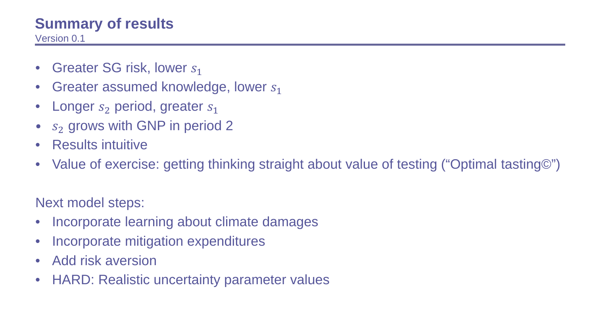#### **Summary of results** Version 0.1

- Greater SG risk, lower  $s_1$
- Greater assumed knowledge, lower  $s_1$
- Longer  $s_2$  period, greater  $s_1$
- $s<sub>2</sub>$  grows with GNP in period 2
- Results intuitive
- Value of exercise: getting thinking straight about value of testing ("Optimal tasting©")

Next model steps:

- Incorporate learning about climate damages
- Incorporate mitigation expenditures
- Add risk aversion
- HARD: Realistic uncertainty parameter values